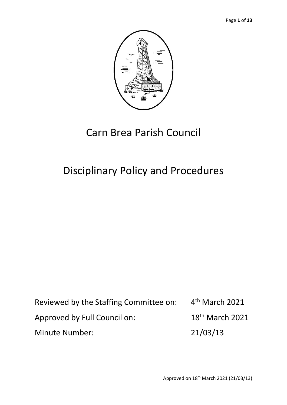

# Carn Brea Parish Council

# Disciplinary Policy and Procedures

Reviewed by the Staffing Committee on: 4 4<sup>th</sup> March 2021 Approved by Full Council on: 18<sup>th</sup> March 2021 Minute Number: 21/03/13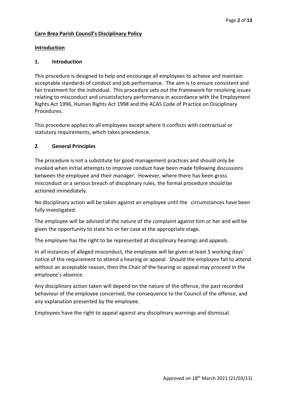# **Carn Brea Parish Council's Disciplinary Policy**

#### **Introduction**

#### **1. Introduction**

This procedure is designed to help and encourage all employees to achieve and maintain acceptable standards of conduct and job performance. The aim is to ensure consistent and fair treatment for the individual. This procedure sets out the framework for resolving issues relating to misconduct and unsatisfactory performance in accordance with the Employment Rights Act 1996, Human Rights Act 1998 and the ACAS Code of Practice on Disciplinary Procedures.

This procedure applies to all employees except where it conflicts with contractual or statutory requirements, which takes precedence.

## **2**. **General Principles**

The procedure is not a substitute for good management practices and should only be invoked when initial attempts to improve conduct have been made following discussions between the employee and their manager. However, where there has been gross misconduct or a serious breach of disciplinary rules, the formal procedure should be actioned immediately.

No disciplinary action will be taken against an employee until the circumstances have been fully investigated.

The employee will be advised of the nature of the complaint against him or her and will be given the opportunity to state his or her case at the appropriate stage.

The employee has the right to be represented at disciplinary hearings and appeals.

In all instances of alleged misconduct, the employee will be given at least 5 working days' notice of the requirement to attend a hearing or appeal. Should the employee fail to attend without an acceptable reason, then the Chair of the hearing or appeal may proceed in the employee's absence.

Any disciplinary action taken will depend on the nature of the offence, the past recorded behaviour of the employee concerned, the consequence to the Council of the offence, and any explanation presented by the employee.

Employees have the right to appeal against any disciplinary warnings and dismissal.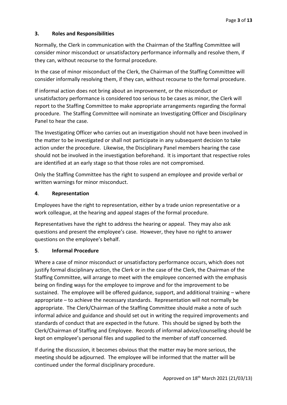# **3. Roles and Responsibilities**

Normally, the Clerk in communication with the Chairman of the Staffing Committee will consider minor misconduct or unsatisfactory performance informally and resolve them, if they can, without recourse to the formal procedure.

In the case of minor misconduct of the Clerk, the Chairman of the Staffing Committee will consider informally resolving them, if they can, without recourse to the formal procedure.

If informal action does not bring about an improvement, or the misconduct or unsatisfactory performance is considered too serious to be cases as minor, the Clerk will report to the Staffing Committee to make appropriate arrangements regarding the formal procedure. The Staffing Committee will nominate an Investigating Officer and Disciplinary Panel to hear the case.

The Investigating Officer who carries out an investigation should not have been involved in the matter to be investigated or shall not participate in any subsequent decision to take action under the procedure. Likewise, the Disciplinary Panel members hearing the case should not be involved in the investigation beforehand. It is important that respective roles are identified at an early stage so that those roles are not compromised.

Only the Staffing Committee has the right to suspend an employee and provide verbal or written warnings for minor misconduct.

# **4**. **Representation**

Employees have the right to representation, either by a trade union representative or a work colleague, at the hearing and appeal stages of the formal procedure.

Representatives have the right to address the hearing or appeal. They may also ask questions and present the employee's case. However, they have no right to answer questions on the employee's behalf.

# **5**. **Informal Procedure**

Where a case of minor misconduct or unsatisfactory performance occurs, which does not justify formal disciplinary action, the Clerk or in the case of the Clerk, the Chairman of the Staffing Committee, will arrange to meet with the employee concerned with the emphasis being on finding ways for the employee to improve and for the improvement to be sustained. The employee will be offered guidance, support, and additional training – where appropriate – to achieve the necessary standards. Representation will not normally be appropriate. The Clerk/Chairman of the Staffing Committee should make a note of such informal advice and guidance and should set out in writing the required improvements and standards of conduct that are expected in the future. This should be signed by both the Clerk/Chairman of Staffing and Employee. Records of informal advice/counselling should be kept on employee's personal files and supplied to the member of staff concerned.

If during the discussion, it becomes obvious that the matter may be more serious, the meeting should be adjourned. The employee will be informed that the matter will be continued under the formal disciplinary procedure.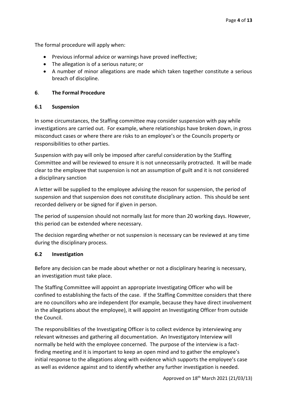The formal procedure will apply when:

- Previous informal advice or warnings have proved ineffective;
- The allegation is of a serious nature; or
- A number of minor allegations are made which taken together constitute a serious breach of discipline.

#### **6**. **The Formal Procedure**

#### **6.1 Suspension**

In some circumstances, the Staffing committee may consider suspension with pay while investigations are carried out. For example, where relationships have broken down, in gross misconduct cases or where there are risks to an employee's or the Councils property or responsibilities to other parties.

Suspension with pay will only be imposed after careful consideration by the Staffing Committee and will be reviewed to ensure it is not unnecessarily protracted. It will be made clear to the employee that suspension is not an assumption of guilt and it is not considered a disciplinary sanction

A letter will be supplied to the employee advising the reason for suspension, the period of suspension and that suspension does not constitute disciplinary action. This should be sent recorded delivery or be signed for if given in person.

The period of suspension should not normally last for more than 20 working days. However, this period can be extended where necessary.

The decision regarding whether or not suspension is necessary can be reviewed at any time during the disciplinary process.

#### **6.2 Investigation**

Before any decision can be made about whether or not a disciplinary hearing is necessary, an investigation must take place.

The Staffing Committee will appoint an appropriate Investigating Officer who will be confined to establishing the facts of the case. If the Staffing Committee considers that there are no councillors who are independent (for example, because they have direct involvement in the allegations about the employee), it will appoint an Investigating Officer from outside the Council.

The responsibilities of the Investigating Officer is to collect evidence by interviewing any relevant witnesses and gathering all documentation. An Investigatory Interview will normally be held with the employee concerned. The purpose of the interview is a factfinding meeting and it is important to keep an open mind and to gather the employee's initial response to the allegations along with evidence which supports the employee's case as well as evidence against and to identify whether any further investigation is needed.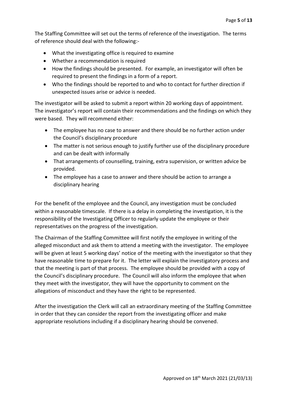The Staffing Committee will set out the terms of reference of the investigation. The terms of reference should deal with the following:-

- What the investigating office is required to examine
- Whether a recommendation is required
- How the findings should be presented. For example, an investigator will often be required to present the findings in a form of a report.
- Who the findings should be reported to and who to contact for further direction if unexpected issues arise or advice is needed.

The investigator will be asked to submit a report within 20 working days of appointment. The investigator's report will contain their recommendations and the findings on which they were based. They will recommend either:

- The employee has no case to answer and there should be no further action under the Council's disciplinary procedure
- The matter is not serious enough to justify further use of the disciplinary procedure and can be dealt with informally
- That arrangements of counselling, training, extra supervision, or written advice be provided.
- The employee has a case to answer and there should be action to arrange a disciplinary hearing

For the benefit of the employee and the Council, any investigation must be concluded within a reasonable timescale. If there is a delay in completing the investigation, it is the responsibility of the Investigating Officer to regularly update the employee or their representatives on the progress of the investigation.

The Chairman of the Staffing Committee will first notify the employee in writing of the alleged misconduct and ask them to attend a meeting with the investigator. The employee will be given at least 5 working days' notice of the meeting with the investigator so that they have reasonable time to prepare for it. The letter will explain the investigatory process and that the meeting is part of that process. The employee should be provided with a copy of the Council's disciplinary procedure. The Council will also inform the employee that when they meet with the investigator, they will have the opportunity to comment on the allegations of misconduct and they have the right to be represented.

After the investigation the Clerk will call an extraordinary meeting of the Staffing Committee in order that they can consider the report from the investigating officer and make appropriate resolutions including if a disciplinary hearing should be convened.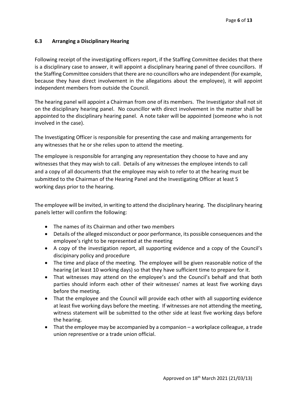# **6.3 Arranging a Disciplinary Hearing**

Following receipt of the investigating officers report, if the Staffing Committee decides that there is a disciplinary case to answer, it will appoint a disciplinary hearing panel of three councillors. If the Staffing Committee considers that there are no councillors who are independent (for example, because they have direct involvement in the allegations about the employee), it will appoint independent members from outside the Council.

The hearing panel will appoint a Chairman from one of its members. The Investigator shall not sit on the disciplinary hearing panel. No councillor with direct involvement in the matter shall be appointed to the disciplinary hearing panel. A note taker will be appointed (someone who is not involved in the case).

The Investigating Officer is responsible for presenting the case and making arrangements for any witnesses that he or she relies upon to attend the meeting.

The employee is responsible for arranging any representation they choose to have and any witnesses that they may wish to call. Details of any witnesses the employee intends to call and a copy of all documents that the employee may wish to refer to at the hearing must be submitted to the Chairman of the Hearing Panel and the Investigating Officer at least 5 working days prior to the hearing.

The employee will be invited, in writing to attend the disciplinary hearing. The disciplinary hearing panels letter will confirm the following:

- The names of its Chairman and other two members
- Details of the alleged misconduct or poor performance, its possible consequences and the employee's right to be represented at the meeting
- A copy of the investigation report, all supporting evidence and a copy of the Council's discipinary policy and procedure
- The time and place of the meeting. The employee will be given reasonable notice of the hearing (at least 10 working days) so that they have sufficient time to prepare for it.
- That witnesses may attend on the employee's and the Council's behalf and that both parties should inform each other of their witnesses' names at least five working days before the meeting.
- That the employee and the Council will provide each other with all supporting evidence at least five working days before the meeting. If witnesses are not attending the meeting, witness statement will be submitted to the other side at least five working days before the hearing.
- That the employee may be accompanied by a companion a workplace colleague, a trade union representive or a trade union official.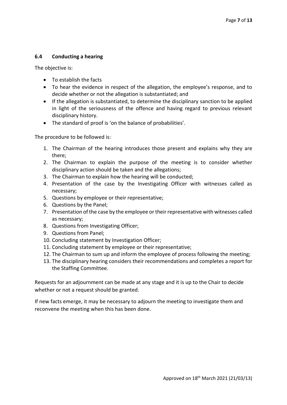#### **6.4 Conducting a hearing**

The objective is:

- To establish the facts
- To hear the evidence in respect of the allegation, the employee's response, and to decide whether or not the allegation is substantiated; and
- If the allegation is substantiated, to determine the disciplinary sanction to be applied in light of the seriousness of the offence and having regard to previous relevant disciplinary history.
- The standard of proof is 'on the balance of probabilities'.

The procedure to be followed is:

- 1. The Chairman of the hearing introduces those present and explains why they are there;
- 2. The Chairman to explain the purpose of the meeting is to consider whether disciplinary action should be taken and the allegations;
- 3. The Chairman to explain how the hearing will be conducted;
- 4. Presentation of the case by the Investigating Officer with witnesses called as necessary;
- 5. Questions by employee or their representative;
- 6. Questions by the Panel;
- 7. Presentation of the case by the employee or their representative with witnesses called as necessary;
- 8. Questions from Investigating Officer;
- 9. Questions from Panel;
- 10. Concluding statement by Investigation Officer;
- 11. Concluding statement by employee or their representative;
- 12. The Chairman to sum up and inform the employee of process following the meeting;
- 13. The disciplinary hearing considers their recommendations and completes a report for the Staffing Committee.

Requests for an adjournment can be made at any stage and it is up to the Chair to decide whether or not a request should be granted.

If new facts emerge, it may be necessary to adjourn the meeting to investigate them and reconvene the meeting when this has been done.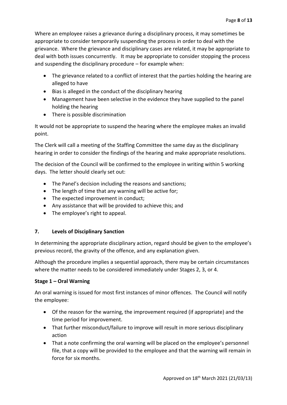Where an employee raises a grievance during a disciplinary process, it may sometimes be appropriate to consider temporarily suspending the process in order to deal with the grievance. Where the grievance and disciplinary cases are related, it may be appropriate to deal with both issues concurrently. It may be appropriate to consider stopping the process and suspending the disciplinary procedure – for example when:

- The grievance related to a conflict of interest that the parties holding the hearing are alleged to have
- Bias is alleged in the conduct of the disciplinary hearing
- Management have been selective in the evidence they have supplied to the panel holding the hearing
- There is possible discrimination

It would not be appropriate to suspend the hearing where the employee makes an invalid point.

The Clerk will call a meeting of the Staffing Committee the same day as the disciplinary hearing in order to consider the findings of the hearing and make appropriate resolutions.

The decision of the Council will be confirmed to the employee in writing within 5 working days. The letter should clearly set out:

- The Panel's decision including the reasons and sanctions;
- The length of time that any warning will be active for;
- The expected improvement in conduct;
- Any assistance that will be provided to achieve this; and
- The employee's right to appeal.

# **7. Levels of Disciplinary Sanction**

In determining the appropriate disciplinary action, regard should be given to the employee's previous record, the gravity of the offence, and any explanation given.

Although the procedure implies a sequential approach, there may be certain circumstances where the matter needs to be considered immediately under Stages 2, 3, or 4.

# **Stage 1 – Oral Warning**

An oral warning is issued for most first instances of minor offences. The Council will notify the employee:

- Of the reason for the warning, the improvement required (if appropriate) and the time period for improvement.
- That further misconduct/failure to improve will result in more serious disciplinary action
- That a note confirming the oral warning will be placed on the employee's personnel file, that a copy will be provided to the employee and that the warning will remain in force for six months.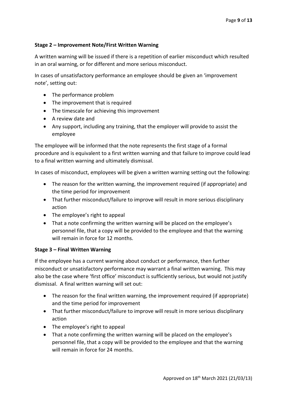## **Stage 2 – Improvement Note/First Written Warning**

A written warning will be issued if there is a repetition of earlier misconduct which resulted in an oral warning, or for different and more serious misconduct.

In cases of unsatisfactory performance an employee should be given an 'improvement note', setting out:

- The performance problem
- The improvement that is required
- The timescale for achieving this improvement
- A review date and
- Any support, including any training, that the employer will provide to assist the employee

The employee will be informed that the note represents the first stage of a formal procedure and is equivalent to a first written warning and that failure to improve could lead to a final written warning and ultimately dismissal.

In cases of misconduct, employees will be given a written warning setting out the following:

- The reason for the written warning, the improvement required (if appropriate) and the time period for improvement
- That further misconduct/failure to improve will result in more serious disciplinary action
- The employee's right to appeal
- That a note confirming the written warning will be placed on the employee's personnel file, that a copy will be provided to the employee and that the warning will remain in force for 12 months.

#### **Stage 3 – Final Written Warning**

If the employee has a current warning about conduct or performance, then further misconduct or unsatisfactory performance may warrant a final written warning. This may also be the case where 'first office' misconduct is sufficiently serious, but would not justify dismissal. A final written warning will set out:

- The reason for the final written warning, the improvement required (if appropriate) and the time period for improvement
- That further misconduct/failure to improve will result in more serious disciplinary action
- The employee's right to appeal
- That a note confirming the written warning will be placed on the employee's personnel file, that a copy will be provided to the employee and that the warning will remain in force for 24 months.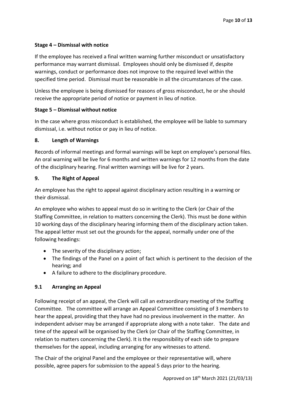# **Stage 4 – Dismissal with notice**

If the employee has received a final written warning further misconduct or unsatisfactory performance may warrant dismissal. Employees should only be dismissed if, despite warnings, conduct or performance does not improve to the required level within the specified time period. Dismissal must be reasonable in all the circumstances of the case.

Unless the employee is being dismissed for reasons of gross misconduct, he or she should receive the appropriate period of notice or payment in lieu of notice.

## **Stage 5 – Dismissal without notice**

In the case where gross misconduct is established, the employee will be liable to summary dismissal, i.e. without notice or pay in lieu of notice.

#### **8. Length of Warnings**

Records of informal meetings and formal warnings will be kept on employee's personal files. An oral warning will be live for 6 months and written warnings for 12 months from the date of the disciplinary hearing. Final written warnings will be live for 2 years.

## **9. The Right of Appeal**

An employee has the right to appeal against disciplinary action resulting in a warning or their dismissal.

An employee who wishes to appeal must do so in writing to the Clerk (or Chair of the Staffing Committee, in relation to matters concerning the Clerk). This must be done within 10 working days of the disciplinary hearing informing them of the disciplinary action taken. The appeal letter must set out the grounds for the appeal, normally under one of the following headings:

- The severity of the disciplinary action;
- The findings of the Panel on a point of fact which is pertinent to the decision of the hearing; and
- A failure to adhere to the disciplinary procedure.

# **9.1 Arranging an Appeal**

Following receipt of an appeal, the Clerk will call an extraordinary meeting of the Staffing Committee. The committee will arrange an Appeal Committee consisting of 3 members to hear the appeal, providing that they have had no previous involvement in the matter. An independent adviser may be arranged if appropriate along with a note taker. The date and time of the appeal will be organised by the Clerk (or Chair of the Staffing Committee, in relation to matters concerning the Clerk). It is the responsibility of each side to prepare themselves for the appeal, including arranging for any witnesses to attend.

The Chair of the original Panel and the employee or their representative will, where possible, agree papers for submission to the appeal 5 days prior to the hearing.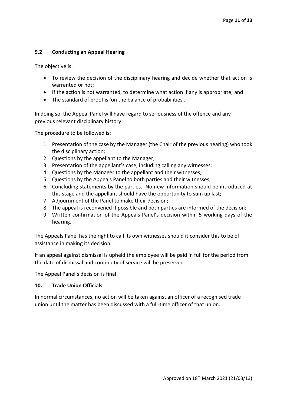# **9.2 Conducting an Appeal Hearing**

The objective is:

- To review the decision of the disciplinary hearing and decide whether that action is warranted or not;
- If the action is not warranted, to determine what action if any is appropriate; and
- The standard of proof is 'on the balance of probabilities'.

In doing so, the Appeal Panel will have regard to seriousness of the offence and any previous relevant disciplinary history.

The procedure to be followed is:

- 1. Presentation of the case by the Manager (the Chair of the previous hearing) who took the disciplinary action;
- 2. Questions by the appellant to the Manager;
- 3. Presentation of the appellant's case, including calling any witnesses;
- 4. Questions by the Manager to the appellant and their witnesses;
- 5. Questions by the Appeals Panel to both parties and their witnesses;
- 6. Concluding statements by the parties. No new information should be introduced at this stage and the appellant should have the opportunity to sum up last;
- 7. Adjournment of the Panel to make their decision;
- 8. The appeal is reconvened if possible and both parties are informed of the decision;
- 9. Written confirmation of the Appeals Panel's decision within 5 working days of the hearing.

The Appeals Panel has the right to call its own witnesses should it consider this to be of assistance in making its decision

If an appeal against dismissal is upheld the employee will be paid in full for the period from the date of dismissal and continuity of service will be preserved.

The Appeal Panel's decision is final.

# **10. Trade Union Officials**

In normal circumstances, no action will be taken against an officer of a recognised trade union until the matter has been discussed with a full-time officer of that union.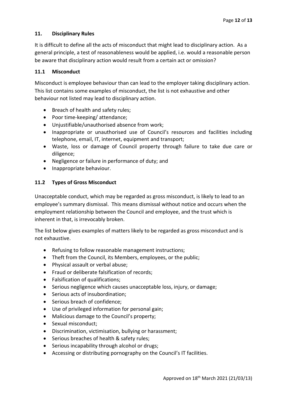# **11. Disciplinary Rules**

It is difficult to define all the acts of misconduct that might lead to disciplinary action. As a general principle, a test of reasonableness would be applied, i.e. would a reasonable person be aware that disciplinary action would result from a certain act or omission?

## **11.1 Misconduct**

Misconduct is employee behaviour than can lead to the employer taking disciplinary action. This list contains some examples of misconduct, the list is not exhaustive and other behaviour not listed may lead to disciplinary action.

- Breach of health and safety rules;
- Poor time-keeping/ attendance;
- Unjustifiable/unauthorised absence from work;
- Inappropriate or unauthorised use of Council's resources and facilities including telephone, email, IT, internet, equipment and transport;
- Waste, loss or damage of Council property through failure to take due care or diligence;
- Negligence or failure in performance of duty; and
- Inappropriate behaviour.

# **11.2 Types of Gross Misconduct**

Unacceptable conduct, which may be regarded as gross misconduct, is likely to lead to an employee's summary dismissal. This means dismissal without notice and occurs when the employment relationship between the Council and employee, and the trust which is inherent in that, is irrevocably broken.

The list below gives examples of matters likely to be regarded as gross misconduct and is not exhaustive.

- Refusing to follow reasonable management instructions;
- Theft from the Council, its Members, employees, or the public;
- Physical assault or verbal abuse;
- Fraud or deliberate falsification of records;
- Falsification of qualifications;
- Serious negligence which causes unacceptable loss, injury, or damage;
- Serious acts of insubordination;
- Serious breach of confidence;
- Use of privileged information for personal gain;
- Malicious damage to the Council's property;
- Sexual misconduct;
- Discrimination, victimisation, bullying or harassment;
- Serious breaches of health & safety rules;
- Serious incapability through alcohol or drugs;
- Accessing or distributing pornography on the Council's IT facilities.